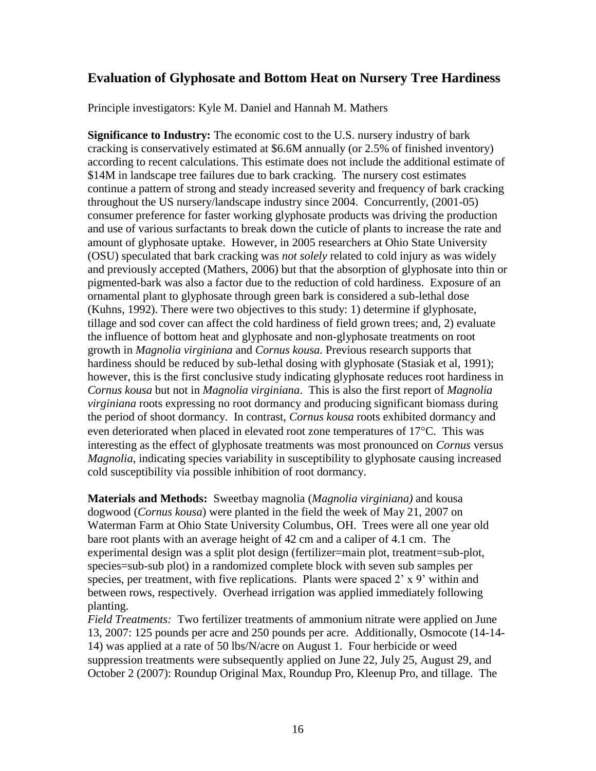## **Evaluation of Glyphosate and Bottom Heat on Nursery Tree Hardiness**

Principle investigators: Kyle M. Daniel and Hannah M. Mathers

**Significance to Industry:** The economic cost to the U.S. nursery industry of bark cracking is conservatively estimated at \$6.6M annually (or 2.5% of finished inventory) according to recent calculations. This estimate does not include the additional estimate of \$14M in landscape tree failures due to bark cracking. The nursery cost estimates continue a pattern of strong and steady increased severity and frequency of bark cracking throughout the US nursery/landscape industry since 2004. Concurrently, (2001-05) consumer preference for faster working glyphosate products was driving the production and use of various surfactants to break down the cuticle of plants to increase the rate and amount of glyphosate uptake. However, in 2005 researchers at Ohio State University (OSU) speculated that bark cracking was *not solely* related to cold injury as was widely and previously accepted (Mathers, 2006) but that the absorption of glyphosate into thin or pigmented-bark was also a factor due to the reduction of cold hardiness. Exposure of an ornamental plant to glyphosate through green bark is considered a sub-lethal dose (Kuhns, 1992). There were two objectives to this study: 1) determine if glyphosate, tillage and sod cover can affect the cold hardiness of field grown trees; and, 2) evaluate the influence of bottom heat and glyphosate and non-glyphosate treatments on root growth in *Magnolia virginiana* and *Cornus kousa.* Previous research supports that hardiness should be reduced by sub-lethal dosing with glyphosate (Stasiak et al, 1991); however, this is the first conclusive study indicating glyphosate reduces root hardiness in *Cornus kousa* but not in *Magnolia virginiana*. This is also the first report of *Magnolia virginiana* roots expressing no root dormancy and producing significant biomass during the period of shoot dormancy. In contrast, *Cornus kousa* roots exhibited dormancy and even deteriorated when placed in elevated root zone temperatures of  $17^{\circ}$ C. This was interesting as the effect of glyphosate treatments was most pronounced on *Cornus* versus *Magnolia*, indicating species variability in susceptibility to glyphosate causing increased cold susceptibility via possible inhibition of root dormancy.

**Materials and Methods:** Sweetbay magnolia (*Magnolia virginiana)* and kousa dogwood (*Cornus kousa*) were planted in the field the week of May 21, 2007 on Waterman Farm at Ohio State University Columbus, OH. Trees were all one year old bare root plants with an average height of 42 cm and a caliper of 4.1 cm. The experimental design was a split plot design (fertilizer=main plot, treatment=sub-plot, species=sub-sub plot) in a randomized complete block with seven sub samples per species, per treatment, with five replications. Plants were spaced 2' x 9' within and between rows, respectively. Overhead irrigation was applied immediately following planting.

*Field Treatments:* Two fertilizer treatments of ammonium nitrate were applied on June 13, 2007: 125 pounds per acre and 250 pounds per acre. Additionally, Osmocote (14-14- 14) was applied at a rate of 50 lbs/N/acre on August 1. Four herbicide or weed suppression treatments were subsequently applied on June 22, July 25, August 29, and October 2 (2007): Roundup Original Max, Roundup Pro, Kleenup Pro, and tillage. The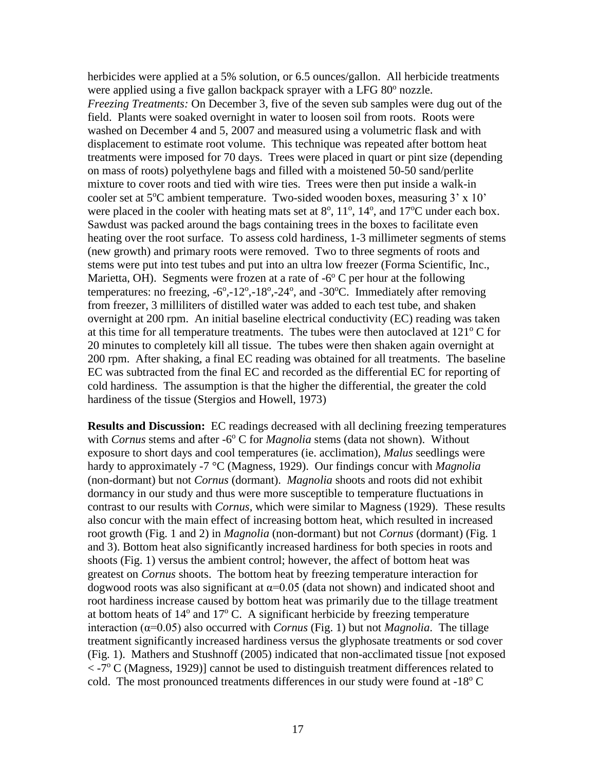herbicides were applied at a 5% solution, or 6.5 ounces/gallon. All herbicide treatments were applied using a five gallon backpack sprayer with a LFG 80° nozzle. *Freezing Treatments:* On December 3, five of the seven sub samples were dug out of the field. Plants were soaked overnight in water to loosen soil from roots. Roots were washed on December 4 and 5, 2007 and measured using a volumetric flask and with displacement to estimate root volume. This technique was repeated after bottom heat treatments were imposed for 70 days. Trees were placed in quart or pint size (depending on mass of roots) polyethylene bags and filled with a moistened 50-50 sand/perlite mixture to cover roots and tied with wire ties. Trees were then put inside a walk-in cooler set at  $5^{\circ}$ C ambient temperature. Two-sided wooden boxes, measuring  $3' \times 10'$ were placed in the cooler with heating mats set at  $8^\circ$ ,  $11^\circ$ ,  $14^\circ$ , and  $17^\circ$ C under each box. Sawdust was packed around the bags containing trees in the boxes to facilitate even heating over the root surface. To assess cold hardiness, 1-3 millimeter segments of stems (new growth) and primary roots were removed. Two to three segments of roots and stems were put into test tubes and put into an ultra low freezer (Forma Scientific, Inc., Marietta, OH). Segments were frozen at a rate of  $-6^{\circ}$  C per hour at the following temperatures: no freezing,  $-6^\circ$ ,  $-12^\circ$ ,  $-18^\circ$ ,  $-24^\circ$ , and  $-30^\circ$ C. Immediately after removing from freezer, 3 milliliters of distilled water was added to each test tube, and shaken overnight at 200 rpm. An initial baseline electrical conductivity (EC) reading was taken at this time for all temperature treatments. The tubes were then autoclaved at  $121^{\circ}$  C for 20 minutes to completely kill all tissue. The tubes were then shaken again overnight at 200 rpm. After shaking, a final EC reading was obtained for all treatments. The baseline EC was subtracted from the final EC and recorded as the differential EC for reporting of cold hardiness. The assumption is that the higher the differential, the greater the cold hardiness of the tissue (Stergios and Howell, 1973)

**Results** and Discussion: EC readings decreased with all declining freezing temperatures with *Cornus* stems and after -6<sup>°</sup> C for *Magnolia* stems (data not shown). Without exposure to short days and cool temperatures (ie. acclimation), *Malus* seedlings were hardy to approximately -7 °C (Magness, 1929). Our findings concur with *Magnolia* (non-dormant) but not *Cornus* (dormant). *Magnolia* shoots and roots did not exhibit dormancy in our study and thus were more susceptible to temperature fluctuations in contrast to our results with *Cornus,* which were similar to Magness (1929). These results also concur with the main effect of increasing bottom heat, which resulted in increased root growth (Fig. 1 and 2) in *Magnolia* (non-dormant) but not *Cornus* (dormant) (Fig. 1 and 3). Bottom heat also significantly increased hardiness for both species in roots and shoots (Fig. 1) versus the ambient control; however, the affect of bottom heat was greatest on *Cornus* shoots. The bottom heat by freezing temperature interaction for dogwood roots was also significant at  $\alpha$ =0.05 (data not shown) and indicated shoot and root hardiness increase caused by bottom heat was primarily due to the tillage treatment at bottom heats of  $14^{\circ}$  and  $17^{\circ}$  C. A significant herbicide by freezing temperature interaction ( $α=0.05$ ) also occurred with *Cornus* (Fig. 1) but not *Magnolia*. The tillage treatment significantly increased hardiness versus the glyphosate treatments or sod cover (Fig. 1). Mathers and Stushnoff (2005) indicated that non-acclimated tissue [not exposed < -7° C (Magness, 1929)] cannot be used to distinguish treatment differences related to cold. The most pronounced treatments differences in our study were found at  $-18^{\circ}$  C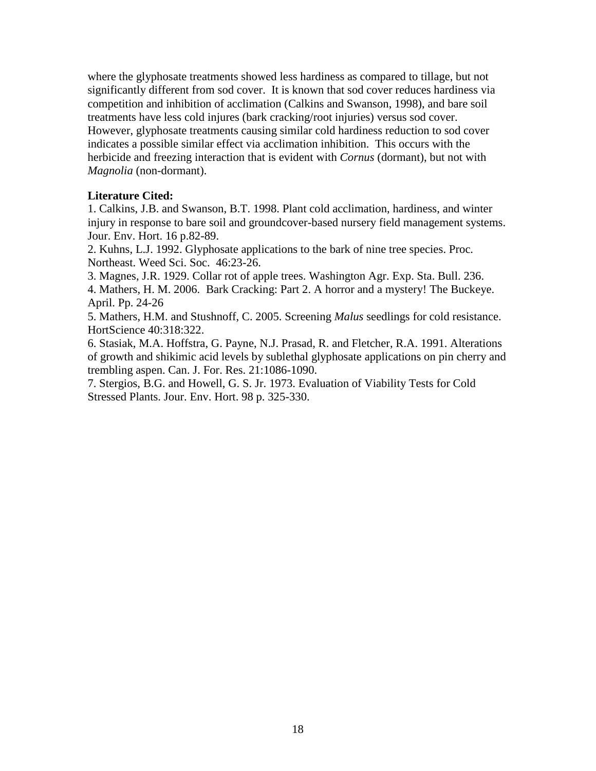where the glyphosate treatments showed less hardiness as compared to tillage, but not significantly different from sod cover. It is known that sod cover reduces hardiness via competition and inhibition of acclimation (Calkins and Swanson, 1998), and bare soil treatments have less cold injures (bark cracking/root injuries) versus sod cover. However, glyphosate treatments causing similar cold hardiness reduction to sod cover indicates a possible similar effect via acclimation inhibition. This occurs with the herbicide and freezing interaction that is evident with *Cornus* (dormant), but not with *Magnolia* (non-dormant).

## **Literature Cited:**

1. Calkins, J.B. and Swanson, B.T. 1998. [Plant cold acclimation, hardiness, and winter](http://web.ebscohost.com.proxy.lib.ohio-state.edu/ehost/viewarticle?data=dGJyMPPp44rp2%2fdV0%2bnjisfk5Ie46bZMtqazTLOk63nn5Kx95uXxjL6srUqzpbBIrq6eSbCwrky4p7Y4zsOkjPDX7Ivf2fKB7eTnfLujsVC1p7NKsai3PurX7H%2b72%2bw%2b4ti7eeXopIzf3btZzJzfhru%2fzFywp7RMr6eySaTc7Yrr1%2fJV5OvqhPLb9owA&hid=120)  [injury in response to bare soil and groundcover-based nursery field management systems.](http://web.ebscohost.com.proxy.lib.ohio-state.edu/ehost/viewarticle?data=dGJyMPPp44rp2%2fdV0%2bnjisfk5Ie46bZMtqazTLOk63nn5Kx95uXxjL6srUqzpbBIrq6eSbCwrky4p7Y4zsOkjPDX7Ivf2fKB7eTnfLujsVC1p7NKsai3PurX7H%2b72%2bw%2b4ti7eeXopIzf3btZzJzfhru%2fzFywp7RMr6eySaTc7Yrr1%2fJV5OvqhPLb9owA&hid=120) Jour. Env. Hort. 16 p.82-89.

2. Kuhns, L.J. 1992. Glyphosate applications to the bark of nine tree species. Proc. Northeast. Weed Sci. Soc. 46:23-26.

3. Magnes, J.R. 1929. Collar rot of apple trees. Washington Agr. Exp. Sta. Bull. 236.

4. Mathers, H. M. 2006. Bark Cracking: Part 2. A horror and a mystery! The Buckeye. April. Pp. 24-26

5. Mathers, H.M. and Stushnoff, C. 2005. Screening *Malus* seedlings for cold resistance. HortScience 40:318:322.

6. Stasiak, M.A. Hoffstra, G. Payne, N.J. Prasad, R. and Fletcher, R.A. 1991. Alterations of growth and shikimic acid levels by sublethal glyphosate applications on pin cherry and trembling aspen. Can. J. For. Res. 21:1086-1090.

7. Stergios, B.G. and Howell, G. S. Jr. 1973. Evaluation of Viability Tests for Cold Stressed Plants. Jour. Env. Hort. 98 p. 325-330.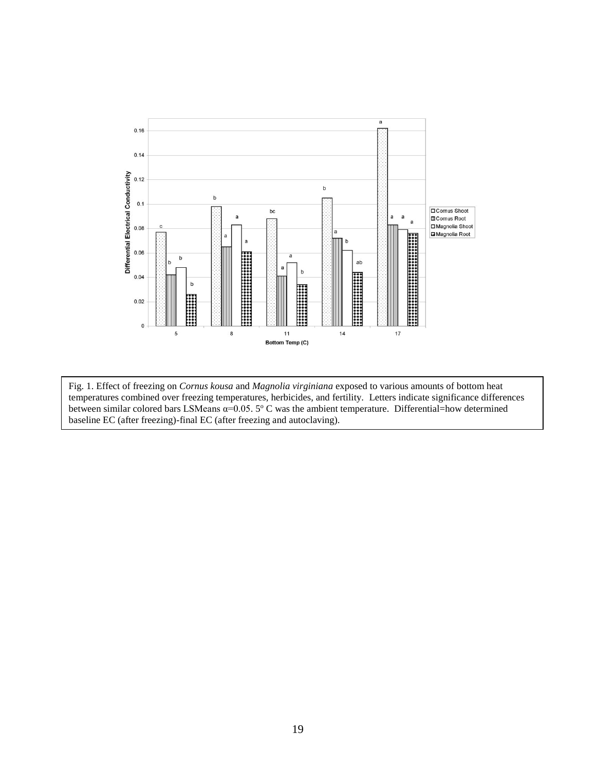

Fig. 1. Effect of freezing on *Cornus kousa* and *Magnolia virginiana* exposed to various amounts of bottom heat temperatures combined over freezing temperatures, herbicides, and fertility. Letters indicate significance differences between similar colored bars LSMeans  $\alpha$ =0.05. 5° C was the ambient temperature. Differential=how determined baseline EC (after freezing)-final EC (after freezing and autoclaving).